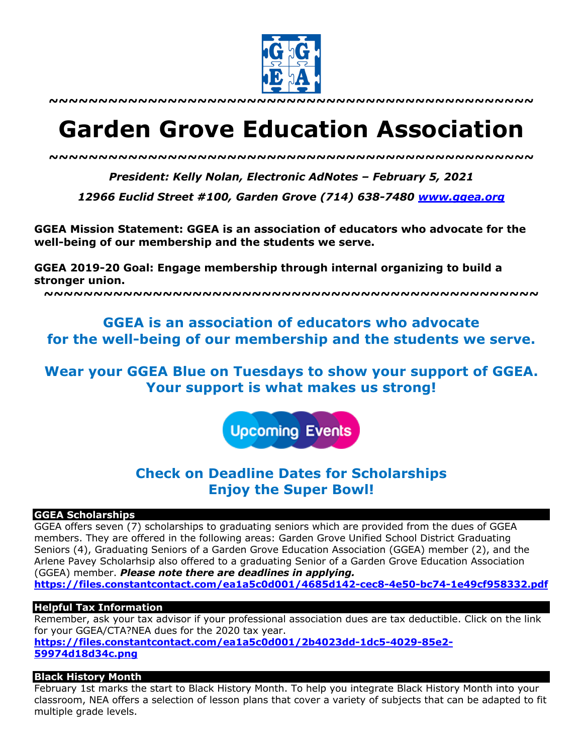

**~~~~~~~~~~~~~~~~~~~~~~~~~~~~~~~~~~~~~~~~~~~~~~~~~**

# **Garden Grove Education Association**

*~~~~~~~~~~~~~~~~~~~~~~~~~~~~~~~~~~~~~~~~~~~~~~~~~*

*President: Kelly Nolan, Electronic AdNotes – February 5, 2021*

*12966 Euclid Street #100, Garden Grove (714) 638-7480 www.ggea.org*

**GGEA Mission Statement: GGEA is an association of educators who advocate for the well-being of our membership and the students we serve.** 

**GGEA 2019-20 Goal: Engage membership through internal organizing to build a stronger union.**

**~~~~~~~~~~~~~~~~~~~~~~~~~~~~~~~~~~~~~~~~~~~~~~~~~~**

# **GGEA is an association of educators who advocate for the well-being of our membership and the students we serve.**

**Wear your GGEA Blue on Tuesdays to show your support of GGEA. Your support is what makes us strong!**

**Upcoming Events** 

# **Check on Deadline Dates for Scholarships Enjoy the Super Bowl!**

#### **GGEA Scholarships**

GGEA offers seven (7) scholarships to graduating seniors which are provided from the dues of GGEA members. They are offered in the following areas: Garden Grove Unified School District Graduating Seniors (4), Graduating Seniors of a Garden Grove Education Association (GGEA) member (2), and the Arlene Pavey Scholarhsip also offered to a graduating Senior of a Garden Grove Education Association (GGEA) member. *Please note there are deadlines in applying.*  **https://files.constantcontact.com/ea1a5c0d001/4685d142-cec8-4e50-bc74-1e49cf958332.pdf**

## **Helpful Tax Information**

Remember, ask your tax advisor if your professional association dues are tax deductible. Click on the link for your GGEA/CTA?NEA dues for the 2020 tax year. **https://files.constantcontact.com/ea1a5c0d001/2b4023dd-1dc5-4029-85e2- 59974d18d34c.png**

## **Black History Month**

February 1st marks the start to Black History Month. To help you integrate Black History Month into your classroom, NEA offers a selection of lesson plans that cover a variety of subjects that can be adapted to fit multiple grade levels.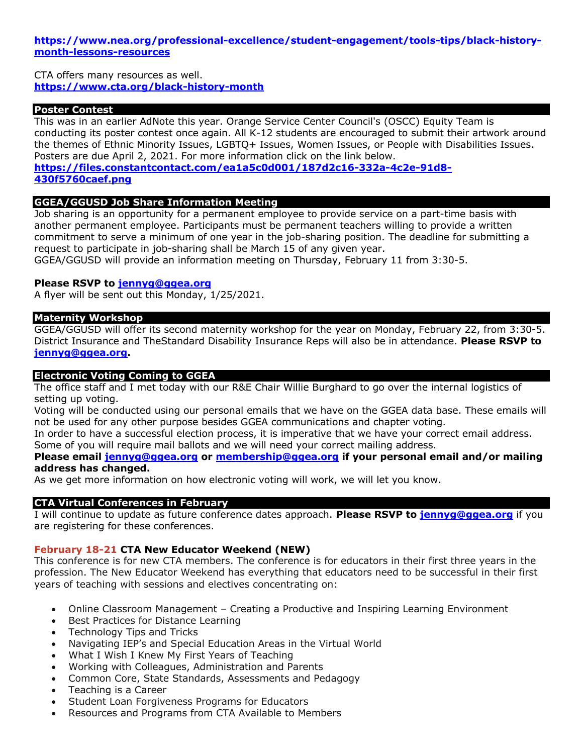**https://www.nea.org/professional-excellence/student-engagement/tools-tips/black-historymonth-lessons-resources**

CTA offers many resources as well. **https://www.cta.org/black-history-month**

#### **Poster Contest**

This was in an earlier AdNote this year. Orange Service Center Council's (OSCC) Equity Team is conducting its poster contest once again. All K-12 students are encouraged to submit their artwork around the themes of Ethnic Minority Issues, LGBTQ+ Issues, Women Issues, or People with Disabilities Issues. Posters are due April 2, 2021. For more information click on the link below.

**https://files.constantcontact.com/ea1a5c0d001/187d2c16-332a-4c2e-91d8- 430f5760caef.png**

#### **GGEA/GGUSD Job Share Information Meeting**

Job sharing is an opportunity for a permanent employee to provide service on a part-time basis with another permanent employee. Participants must be permanent teachers willing to provide a written commitment to serve a minimum of one year in the job-sharing position. The deadline for submitting a request to participate in job-sharing shall be March 15 of any given year.

GGEA/GGUSD will provide an information meeting on Thursday, February 11 from 3:30-5.

#### **Please RSVP to jennyg@ggea.org**

A flyer will be sent out this Monday, 1/25/2021.

## **Maternity Workshop**

GGEA/GGUSD will offer its second maternity workshop for the year on Monday, February 22, from 3:30-5. District Insurance and TheStandard Disability Insurance Reps will also be in attendance. **Please RSVP to jennyg@ggea.org.**

#### **Electronic Voting Coming to GGEA**

The office staff and I met today with our R&E Chair Willie Burghard to go over the internal logistics of setting up voting.

Voting will be conducted using our personal emails that we have on the GGEA data base. These emails will not be used for any other purpose besides GGEA communications and chapter voting.

In order to have a successful election process, it is imperative that we have your correct email address.

Some of you will require mail ballots and we will need your correct mailing address.

# **Please email jennyg@ggea.org or membership@ggea.org if your personal email and/or mailing address has changed.**

As we get more information on how electronic voting will work, we will let you know.

## **CTA Virtual Conferences in February**

I will continue to update as future conference dates approach. **Please RSVP to jennyg@ggea.org** if you are registering for these conferences.

#### **February 18-21 CTA New Educator Weekend (NEW)**

This conference is for new CTA members. The conference is for educators in their first three years in the profession. The New Educator Weekend has everything that educators need to be successful in their first years of teaching with sessions and electives concentrating on:

- Online Classroom Management Creating a Productive and Inspiring Learning Environment
- Best Practices for Distance Learning
- Technology Tips and Tricks
- Navigating IEP's and Special Education Areas in the Virtual World
- What I Wish I Knew My First Years of Teaching
- Working with Colleagues, Administration and Parents
- Common Core, State Standards, Assessments and Pedagogy
- Teaching is a Career
- Student Loan Forgiveness Programs for Educators
- Resources and Programs from CTA Available to Members